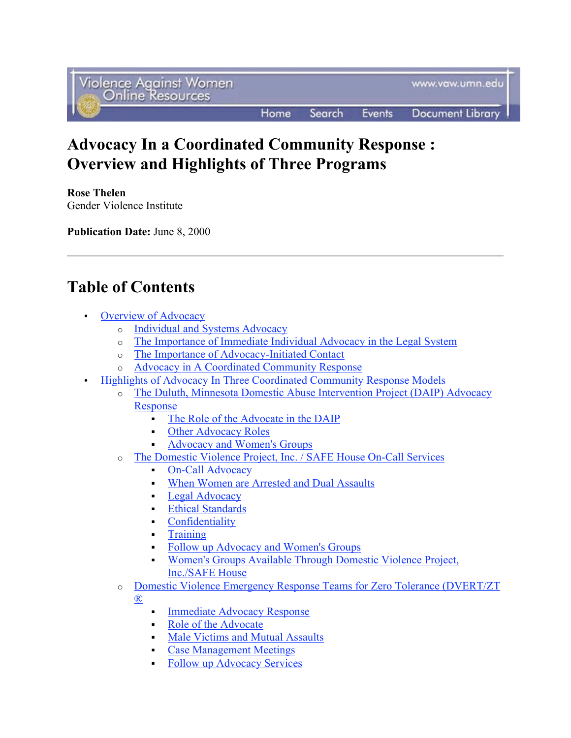# Advocacy In a Coordinated Community Response : Overview and Highlights of Three Programs

Rose Thelen Gender Violence Institute

Publication Date: June 8, 2000

# Table of Contents

- **Overview of Advocacy** 
	- o Individual and Systems Advocacy
	- o The Importance of Immediate Individual Advocacy in the Legal System
	- o The Importance of Advocacy-Initiated Contact
	- o Advocacy in A Coordinated Community Response
- Highlights of Advocacy In Three Coordinated Community Response Models
	- o The Duluth, Minnesota Domestic Abuse Intervention Project (DAIP) Advocacy Response
		- The Role of the Advocate in the DAIP
		- Other Advocacy Roles
		- Advocacy and Women's Groups
	- o The Domestic Violence Project, Inc. / SAFE House On-Call Services
		- On-Call Advocacy
		- When Women are Arrested and Dual Assaults
		- **Legal Advocacy**
		- **Ethical Standards**
		- **Confidentiality**
		- **-** Training
		- Follow up Advocacy and Women's Groups
		- Women's Groups Available Through Domestic Violence Project, Inc./SAFE House
	- o Domestic Violence Emergency Response Teams for Zero Tolerance (DVERT/ZT ®

- **Immediate Advocacy Response**
- Role of the Advocate Male Victims and Mutual Assaults
- Case Management Meetings
- Follow up Advocacy Services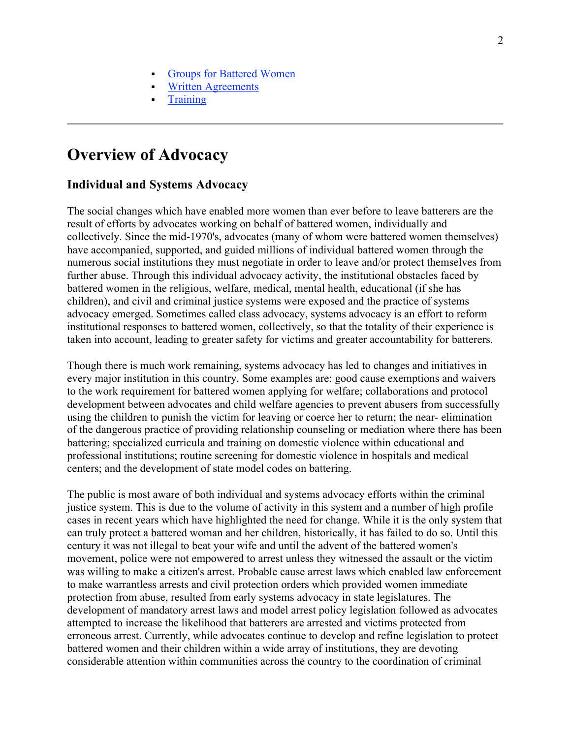- Groups for Battered Women
- Written Agreements
- **Training**

# Overview of Advocacy

#### Individual and Systems Advocacy

The social changes which have enabled more women than ever before to leave batterers are the result of efforts by advocates working on behalf of battered women, individually and collectively. Since the mid-1970's, advocates (many of whom were battered women themselves) have accompanied, supported, and guided millions of individual battered women through the numerous social institutions they must negotiate in order to leave and/or protect themselves from further abuse. Through this individual advocacy activity, the institutional obstacles faced by battered women in the religious, welfare, medical, mental health, educational (if she has children), and civil and criminal justice systems were exposed and the practice of systems advocacy emerged. Sometimes called class advocacy, systems advocacy is an effort to reform institutional responses to battered women, collectively, so that the totality of their experience is taken into account, leading to greater safety for victims and greater accountability for batterers.

Though there is much work remaining, systems advocacy has led to changes and initiatives in every major institution in this country. Some examples are: good cause exemptions and waivers to the work requirement for battered women applying for welfare; collaborations and protocol development between advocates and child welfare agencies to prevent abusers from successfully using the children to punish the victim for leaving or coerce her to return; the near- elimination of the dangerous practice of providing relationship counseling or mediation where there has been battering; specialized curricula and training on domestic violence within educational and professional institutions; routine screening for domestic violence in hospitals and medical centers; and the development of state model codes on battering.

The public is most aware of both individual and systems advocacy efforts within the criminal justice system. This is due to the volume of activity in this system and a number of high profile cases in recent years which have highlighted the need for change. While it is the only system that can truly protect a battered woman and her children, historically, it has failed to do so. Until this century it was not illegal to beat your wife and until the advent of the battered women's movement, police were not empowered to arrest unless they witnessed the assault or the victim was willing to make a citizen's arrest. Probable cause arrest laws which enabled law enforcement to make warrantless arrests and civil protection orders which provided women immediate protection from abuse, resulted from early systems advocacy in state legislatures. The development of mandatory arrest laws and model arrest policy legislation followed as advocates attempted to increase the likelihood that batterers are arrested and victims protected from erroneous arrest. Currently, while advocates continue to develop and refine legislation to protect battered women and their children within a wide array of institutions, they are devoting considerable attention within communities across the country to the coordination of criminal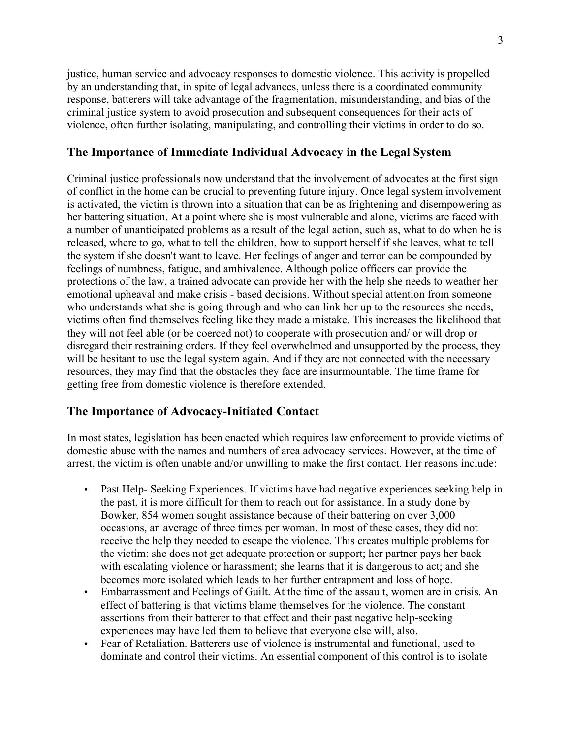justice, human service and advocacy responses to domestic violence. This activity is propelled by an understanding that, in spite of legal advances, unless there is a coordinated community response, batterers will take advantage of the fragmentation, misunderstanding, and bias of the criminal justice system to avoid prosecution and subsequent consequences for their acts of violence, often further isolating, manipulating, and controlling their victims in order to do so.

## The Importance of Immediate Individual Advocacy in the Legal System

Criminal justice professionals now understand that the involvement of advocates at the first sign of conflict in the home can be crucial to preventing future injury. Once legal system involvement is activated, the victim is thrown into a situation that can be as frightening and disempowering as her battering situation. At a point where she is most vulnerable and alone, victims are faced with a number of unanticipated problems as a result of the legal action, such as, what to do when he is released, where to go, what to tell the children, how to support herself if she leaves, what to tell the system if she doesn't want to leave. Her feelings of anger and terror can be compounded by feelings of numbness, fatigue, and ambivalence. Although police officers can provide the protections of the law, a trained advocate can provide her with the help she needs to weather her emotional upheaval and make crisis - based decisions. Without special attention from someone who understands what she is going through and who can link her up to the resources she needs, victims often find themselves feeling like they made a mistake. This increases the likelihood that they will not feel able (or be coerced not) to cooperate with prosecution and/ or will drop or disregard their restraining orders. If they feel overwhelmed and unsupported by the process, they will be hesitant to use the legal system again. And if they are not connected with the necessary resources, they may find that the obstacles they face are insurmountable. The time frame for getting free from domestic violence is therefore extended.

### The Importance of Advocacy-Initiated Contact

In most states, legislation has been enacted which requires law enforcement to provide victims of domestic abuse with the names and numbers of area advocacy services. However, at the time of arrest, the victim is often unable and/or unwilling to make the first contact. Her reasons include:

- Past Help- Seeking Experiences. If victims have had negative experiences seeking help in the past, it is more difficult for them to reach out for assistance. In a study done by Bowker, 854 women sought assistance because of their battering on over 3,000 occasions, an average of three times per woman. In most of these cases, they did not receive the help they needed to escape the violence. This creates multiple problems for the victim: she does not get adequate protection or support; her partner pays her back with escalating violence or harassment; she learns that it is dangerous to act; and she becomes more isolated which leads to her further entrapment and loss of hope.
- Embarrassment and Feelings of Guilt. At the time of the assault, women are in crisis. An effect of battering is that victims blame themselves for the violence. The constant assertions from their batterer to that effect and their past negative help-seeking experiences may have led them to believe that everyone else will, also.
- Fear of Retaliation. Batterers use of violence is instrumental and functional, used to dominate and control their victims. An essential component of this control is to isolate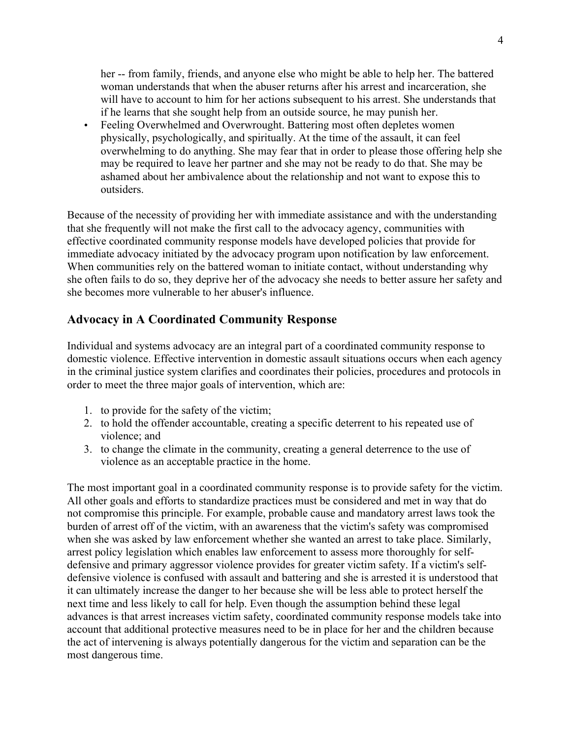her -- from family, friends, and anyone else who might be able to help her. The battered woman understands that when the abuser returns after his arrest and incarceration, she will have to account to him for her actions subsequent to his arrest. She understands that if he learns that she sought help from an outside source, he may punish her.

• Feeling Overwhelmed and Overwrought. Battering most often depletes women physically, psychologically, and spiritually. At the time of the assault, it can feel overwhelming to do anything. She may fear that in order to please those offering help she may be required to leave her partner and she may not be ready to do that. She may be ashamed about her ambivalence about the relationship and not want to expose this to outsiders.

Because of the necessity of providing her with immediate assistance and with the understanding that she frequently will not make the first call to the advocacy agency, communities with effective coordinated community response models have developed policies that provide for immediate advocacy initiated by the advocacy program upon notification by law enforcement. When communities rely on the battered woman to initiate contact, without understanding why she often fails to do so, they deprive her of the advocacy she needs to better assure her safety and she becomes more vulnerable to her abuser's influence.

# Advocacy in A Coordinated Community Response

Individual and systems advocacy are an integral part of a coordinated community response to domestic violence. Effective intervention in domestic assault situations occurs when each agency in the criminal justice system clarifies and coordinates their policies, procedures and protocols in order to meet the three major goals of intervention, which are:

- 1. to provide for the safety of the victim;
- 2. to hold the offender accountable, creating a specific deterrent to his repeated use of violence; and
- 3. to change the climate in the community, creating a general deterrence to the use of violence as an acceptable practice in the home.

The most important goal in a coordinated community response is to provide safety for the victim. All other goals and efforts to standardize practices must be considered and met in way that do not compromise this principle. For example, probable cause and mandatory arrest laws took the burden of arrest off of the victim, with an awareness that the victim's safety was compromised when she was asked by law enforcement whether she wanted an arrest to take place. Similarly, arrest policy legislation which enables law enforcement to assess more thoroughly for selfdefensive and primary aggressor violence provides for greater victim safety. If a victim's selfdefensive violence is confused with assault and battering and she is arrested it is understood that it can ultimately increase the danger to her because she will be less able to protect herself the next time and less likely to call for help. Even though the assumption behind these legal advances is that arrest increases victim safety, coordinated community response models take into account that additional protective measures need to be in place for her and the children because the act of intervening is always potentially dangerous for the victim and separation can be the most dangerous time.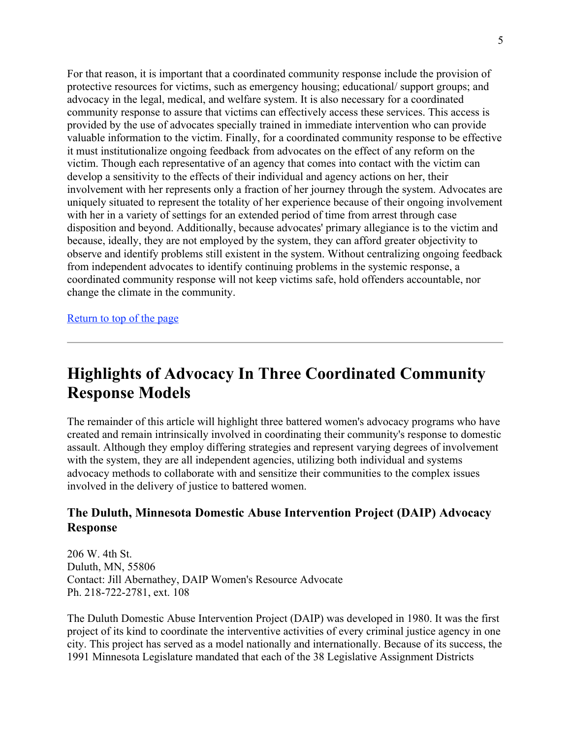For that reason, it is important that a coordinated community response include the provision of protective resources for victims, such as emergency housing; educational/ support groups; and advocacy in the legal, medical, and welfare system. It is also necessary for a coordinated community response to assure that victims can effectively access these services. This access is provided by the use of advocates specially trained in immediate intervention who can provide valuable information to the victim. Finally, for a coordinated community response to be effective it must institutionalize ongoing feedback from advocates on the effect of any reform on the victim. Though each representative of an agency that comes into contact with the victim can develop a sensitivity to the effects of their individual and agency actions on her, their involvement with her represents only a fraction of her journey through the system. Advocates are uniquely situated to represent the totality of her experience because of their ongoing involvement with her in a variety of settings for an extended period of time from arrest through case disposition and beyond. Additionally, because advocates' primary allegiance is to the victim and because, ideally, they are not employed by the system, they can afford greater objectivity to observe and identify problems still existent in the system. Without centralizing ongoing feedback from independent advocates to identify continuing problems in the systemic response, a coordinated community response will not keep victims safe, hold offenders accountable, nor change the climate in the community.

Return to top of the page

# Highlights of Advocacy In Three Coordinated Community Response Models

The remainder of this article will highlight three battered women's advocacy programs who have created and remain intrinsically involved in coordinating their community's response to domestic assault. Although they employ differing strategies and represent varying degrees of involvement with the system, they are all independent agencies, utilizing both individual and systems advocacy methods to collaborate with and sensitize their communities to the complex issues involved in the delivery of justice to battered women.

# The Duluth, Minnesota Domestic Abuse Intervention Project (DAIP) Advocacy Response

206 W. 4th St. Duluth, MN, 55806 Contact: Jill Abernathey, DAIP Women's Resource Advocate Ph. 218-722-2781, ext. 108

The Duluth Domestic Abuse Intervention Project (DAIP) was developed in 1980. It was the first project of its kind to coordinate the interventive activities of every criminal justice agency in one city. This project has served as a model nationally and internationally. Because of its success, the 1991 Minnesota Legislature mandated that each of the 38 Legislative Assignment Districts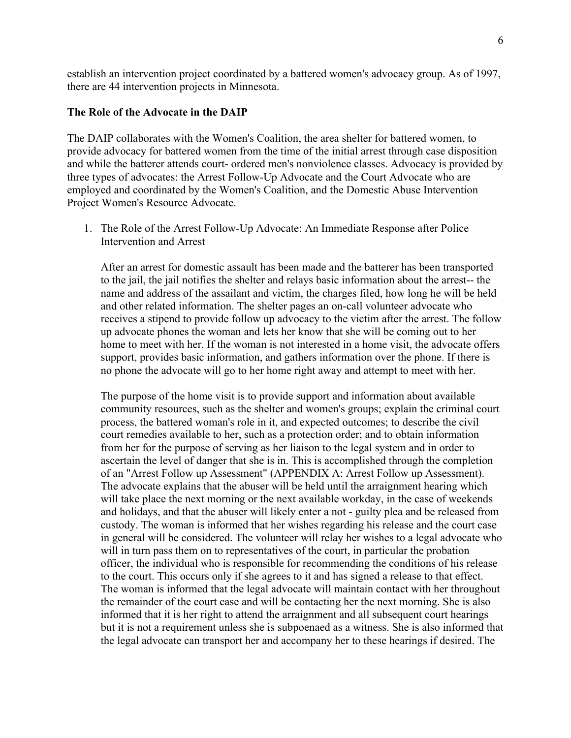establish an intervention project coordinated by a battered women's advocacy group. As of 1997, there are 44 intervention projects in Minnesota.

#### The Role of the Advocate in the DAIP

The DAIP collaborates with the Women's Coalition, the area shelter for battered women, to provide advocacy for battered women from the time of the initial arrest through case disposition and while the batterer attends court- ordered men's nonviolence classes. Advocacy is provided by three types of advocates: the Arrest Follow-Up Advocate and the Court Advocate who are employed and coordinated by the Women's Coalition, and the Domestic Abuse Intervention Project Women's Resource Advocate.

1. The Role of the Arrest Follow-Up Advocate: An Immediate Response after Police Intervention and Arrest

After an arrest for domestic assault has been made and the batterer has been transported to the jail, the jail notifies the shelter and relays basic information about the arrest-- the name and address of the assailant and victim, the charges filed, how long he will be held and other related information. The shelter pages an on-call volunteer advocate who receives a stipend to provide follow up advocacy to the victim after the arrest. The follow up advocate phones the woman and lets her know that she will be coming out to her home to meet with her. If the woman is not interested in a home visit, the advocate offers support, provides basic information, and gathers information over the phone. If there is no phone the advocate will go to her home right away and attempt to meet with her.

The purpose of the home visit is to provide support and information about available community resources, such as the shelter and women's groups; explain the criminal court process, the battered woman's role in it, and expected outcomes; to describe the civil court remedies available to her, such as a protection order; and to obtain information from her for the purpose of serving as her liaison to the legal system and in order to ascertain the level of danger that she is in. This is accomplished through the completion of an "Arrest Follow up Assessment" (APPENDIX A: Arrest Follow up Assessment). The advocate explains that the abuser will be held until the arraignment hearing which will take place the next morning or the next available workday, in the case of weekends and holidays, and that the abuser will likely enter a not - guilty plea and be released from custody. The woman is informed that her wishes regarding his release and the court case in general will be considered. The volunteer will relay her wishes to a legal advocate who will in turn pass them on to representatives of the court, in particular the probation officer, the individual who is responsible for recommending the conditions of his release to the court. This occurs only if she agrees to it and has signed a release to that effect. The woman is informed that the legal advocate will maintain contact with her throughout the remainder of the court case and will be contacting her the next morning. She is also informed that it is her right to attend the arraignment and all subsequent court hearings but it is not a requirement unless she is subpoenaed as a witness. She is also informed that the legal advocate can transport her and accompany her to these hearings if desired. The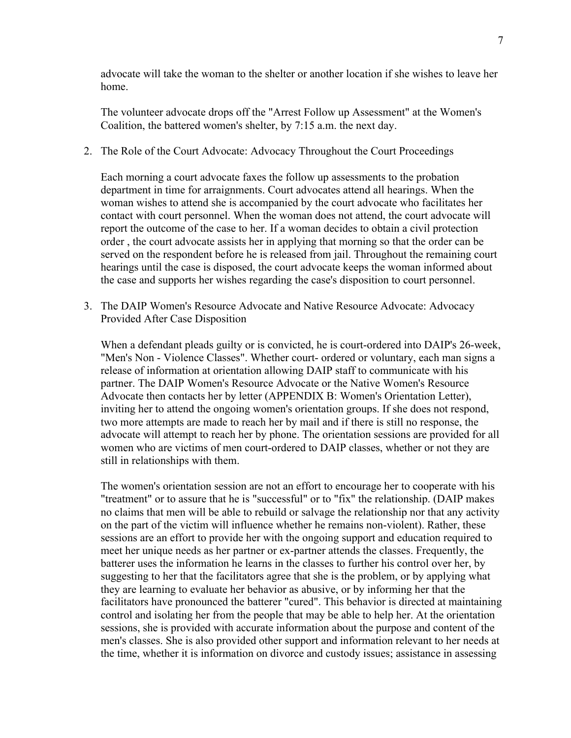advocate will take the woman to the shelter or another location if she wishes to leave her home.

The volunteer advocate drops off the "Arrest Follow up Assessment" at the Women's Coalition, the battered women's shelter, by 7:15 a.m. the next day.

2. The Role of the Court Advocate: Advocacy Throughout the Court Proceedings

Each morning a court advocate faxes the follow up assessments to the probation department in time for arraignments. Court advocates attend all hearings. When the woman wishes to attend she is accompanied by the court advocate who facilitates her contact with court personnel. When the woman does not attend, the court advocate will report the outcome of the case to her. If a woman decides to obtain a civil protection order , the court advocate assists her in applying that morning so that the order can be served on the respondent before he is released from jail. Throughout the remaining court hearings until the case is disposed, the court advocate keeps the woman informed about the case and supports her wishes regarding the case's disposition to court personnel.

3. The DAIP Women's Resource Advocate and Native Resource Advocate: Advocacy Provided After Case Disposition

When a defendant pleads guilty or is convicted, he is court-ordered into DAIP's 26-week, "Men's Non - Violence Classes". Whether court- ordered or voluntary, each man signs a release of information at orientation allowing DAIP staff to communicate with his partner. The DAIP Women's Resource Advocate or the Native Women's Resource Advocate then contacts her by letter (APPENDIX B: Women's Orientation Letter), inviting her to attend the ongoing women's orientation groups. If she does not respond, two more attempts are made to reach her by mail and if there is still no response, the advocate will attempt to reach her by phone. The orientation sessions are provided for all women who are victims of men court-ordered to DAIP classes, whether or not they are still in relationships with them.

The women's orientation session are not an effort to encourage her to cooperate with his "treatment" or to assure that he is "successful" or to "fix" the relationship. (DAIP makes no claims that men will be able to rebuild or salvage the relationship nor that any activity on the part of the victim will influence whether he remains non-violent). Rather, these sessions are an effort to provide her with the ongoing support and education required to meet her unique needs as her partner or ex-partner attends the classes. Frequently, the batterer uses the information he learns in the classes to further his control over her, by suggesting to her that the facilitators agree that she is the problem, or by applying what they are learning to evaluate her behavior as abusive, or by informing her that the facilitators have pronounced the batterer "cured". This behavior is directed at maintaining control and isolating her from the people that may be able to help her. At the orientation sessions, she is provided with accurate information about the purpose and content of the men's classes. She is also provided other support and information relevant to her needs at the time, whether it is information on divorce and custody issues; assistance in assessing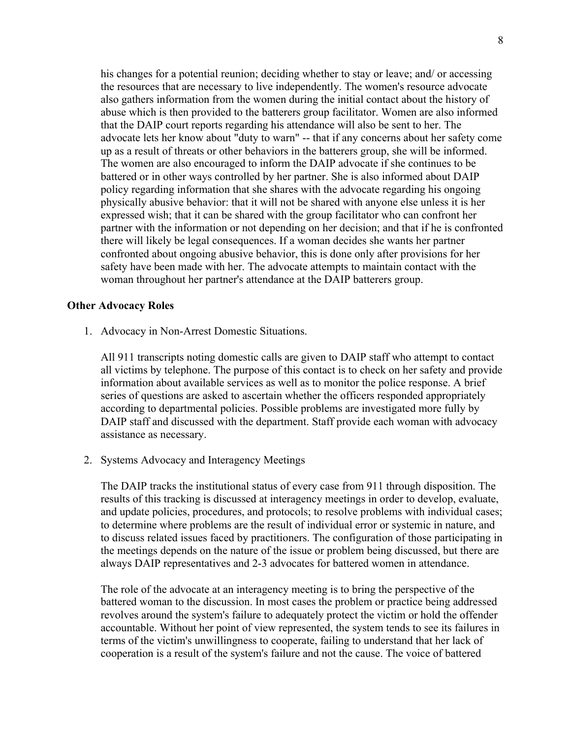his changes for a potential reunion; deciding whether to stay or leave; and/ or accessing the resources that are necessary to live independently. The women's resource advocate also gathers information from the women during the initial contact about the history of abuse which is then provided to the batterers group facilitator. Women are also informed that the DAIP court reports regarding his attendance will also be sent to her. The advocate lets her know about "duty to warn" -- that if any concerns about her safety come up as a result of threats or other behaviors in the batterers group, she will be informed. The women are also encouraged to inform the DAIP advocate if she continues to be battered or in other ways controlled by her partner. She is also informed about DAIP policy regarding information that she shares with the advocate regarding his ongoing physically abusive behavior: that it will not be shared with anyone else unless it is her expressed wish; that it can be shared with the group facilitator who can confront her partner with the information or not depending on her decision; and that if he is confronted there will likely be legal consequences. If a woman decides she wants her partner confronted about ongoing abusive behavior, this is done only after provisions for her safety have been made with her. The advocate attempts to maintain contact with the woman throughout her partner's attendance at the DAIP batterers group.

#### Other Advocacy Roles

1. Advocacy in Non-Arrest Domestic Situations.

All 911 transcripts noting domestic calls are given to DAIP staff who attempt to contact all victims by telephone. The purpose of this contact is to check on her safety and provide information about available services as well as to monitor the police response. A brief series of questions are asked to ascertain whether the officers responded appropriately according to departmental policies. Possible problems are investigated more fully by DAIP staff and discussed with the department. Staff provide each woman with advocacy assistance as necessary.

2. Systems Advocacy and Interagency Meetings

The DAIP tracks the institutional status of every case from 911 through disposition. The results of this tracking is discussed at interagency meetings in order to develop, evaluate, and update policies, procedures, and protocols; to resolve problems with individual cases; to determine where problems are the result of individual error or systemic in nature, and to discuss related issues faced by practitioners. The configuration of those participating in the meetings depends on the nature of the issue or problem being discussed, but there are always DAIP representatives and 2-3 advocates for battered women in attendance.

The role of the advocate at an interagency meeting is to bring the perspective of the battered woman to the discussion. In most cases the problem or practice being addressed revolves around the system's failure to adequately protect the victim or hold the offender accountable. Without her point of view represented, the system tends to see its failures in terms of the victim's unwillingness to cooperate, failing to understand that her lack of cooperation is a result of the system's failure and not the cause. The voice of battered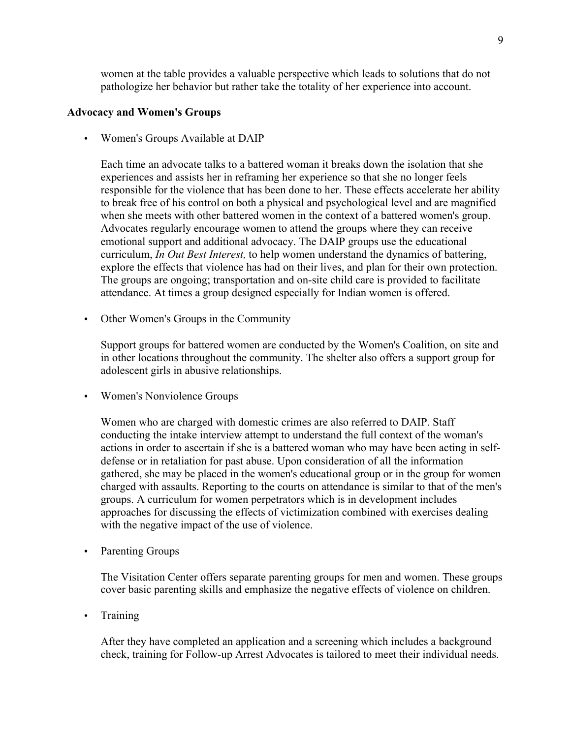women at the table provides a valuable perspective which leads to solutions that do not pathologize her behavior but rather take the totality of her experience into account.

#### Advocacy and Women's Groups

• Women's Groups Available at DAIP

Each time an advocate talks to a battered woman it breaks down the isolation that she experiences and assists her in reframing her experience so that she no longer feels responsible for the violence that has been done to her. These effects accelerate her ability to break free of his control on both a physical and psychological level and are magnified when she meets with other battered women in the context of a battered women's group. Advocates regularly encourage women to attend the groups where they can receive emotional support and additional advocacy. The DAIP groups use the educational curriculum, *In Out Best Interest,* to help women understand the dynamics of battering, explore the effects that violence has had on their lives, and plan for their own protection. The groups are ongoing; transportation and on-site child care is provided to facilitate attendance. At times a group designed especially for Indian women is offered.

• Other Women's Groups in the Community

Support groups for battered women are conducted by the Women's Coalition, on site and in other locations throughout the community. The shelter also offers a support group for adolescent girls in abusive relationships.

• Women's Nonviolence Groups

Women who are charged with domestic crimes are also referred to DAIP. Staff conducting the intake interview attempt to understand the full context of the woman's actions in order to ascertain if she is a battered woman who may have been acting in selfdefense or in retaliation for past abuse. Upon consideration of all the information gathered, she may be placed in the women's educational group or in the group for women charged with assaults. Reporting to the courts on attendance is similar to that of the men's groups. A curriculum for women perpetrators which is in development includes approaches for discussing the effects of victimization combined with exercises dealing with the negative impact of the use of violence.

• Parenting Groups

The Visitation Center offers separate parenting groups for men and women. These groups cover basic parenting skills and emphasize the negative effects of violence on children.

• Training

After they have completed an application and a screening which includes a background check, training for Follow-up Arrest Advocates is tailored to meet their individual needs.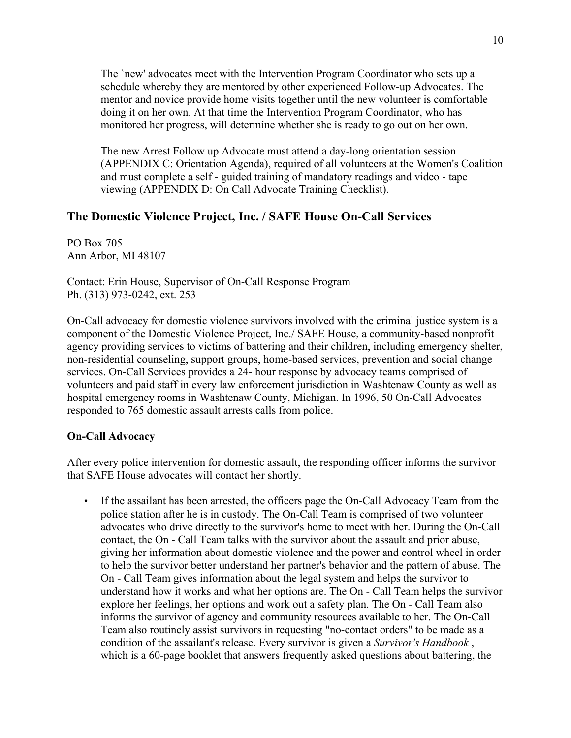The `new' advocates meet with the Intervention Program Coordinator who sets up a schedule whereby they are mentored by other experienced Follow-up Advocates. The mentor and novice provide home visits together until the new volunteer is comfortable doing it on her own. At that time the Intervention Program Coordinator, who has monitored her progress, will determine whether she is ready to go out on her own.

The new Arrest Follow up Advocate must attend a day-long orientation session (APPENDIX C: Orientation Agenda), required of all volunteers at the Women's Coalition and must complete a self - guided training of mandatory readings and video - tape viewing (APPENDIX D: On Call Advocate Training Checklist).

# The Domestic Violence Project, Inc. / SAFE House On-Call Services

PO Box 705 Ann Arbor, MI 48107

Contact: Erin House, Supervisor of On-Call Response Program Ph. (313) 973-0242, ext. 253

On-Call advocacy for domestic violence survivors involved with the criminal justice system is a component of the Domestic Violence Project, Inc./ SAFE House, a community-based nonprofit agency providing services to victims of battering and their children, including emergency shelter, non-residential counseling, support groups, home-based services, prevention and social change services. On-Call Services provides a 24- hour response by advocacy teams comprised of volunteers and paid staff in every law enforcement jurisdiction in Washtenaw County as well as hospital emergency rooms in Washtenaw County, Michigan. In 1996, 50 On-Call Advocates responded to 765 domestic assault arrests calls from police.

#### On-Call Advocacy

After every police intervention for domestic assault, the responding officer informs the survivor that SAFE House advocates will contact her shortly.

• If the assailant has been arrested, the officers page the On-Call Advocacy Team from the police station after he is in custody. The On-Call Team is comprised of two volunteer advocates who drive directly to the survivor's home to meet with her. During the On-Call contact, the On - Call Team talks with the survivor about the assault and prior abuse, giving her information about domestic violence and the power and control wheel in order to help the survivor better understand her partner's behavior and the pattern of abuse. The On - Call Team gives information about the legal system and helps the survivor to understand how it works and what her options are. The On - Call Team helps the survivor explore her feelings, her options and work out a safety plan. The On - Call Team also informs the survivor of agency and community resources available to her. The On-Call Team also routinely assist survivors in requesting "no-contact orders" to be made as a condition of the assailant's release. Every survivor is given a *Survivor's Handbook* , which is a 60-page booklet that answers frequently asked questions about battering, the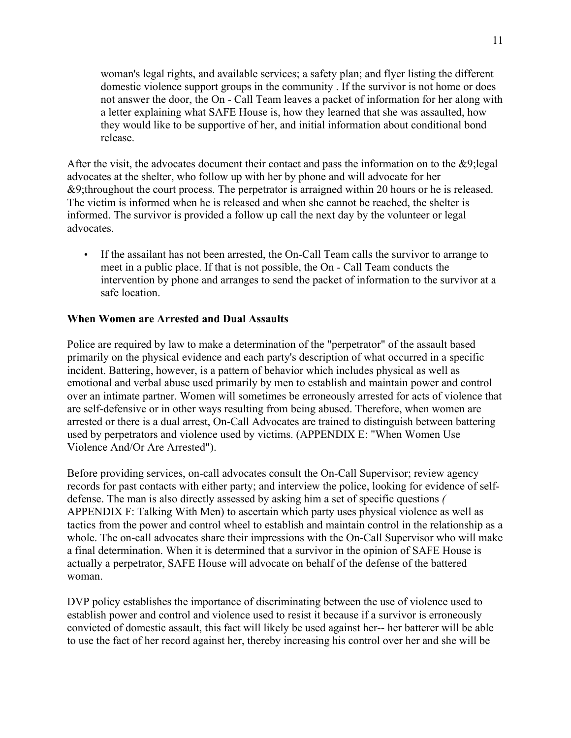woman's legal rights, and available services; a safety plan; and flyer listing the different domestic violence support groups in the community . If the survivor is not home or does not answer the door, the On - Call Team leaves a packet of information for her along with a letter explaining what SAFE House is, how they learned that she was assaulted, how they would like to be supportive of her, and initial information about conditional bond release.

After the visit, the advocates document their contact and pass the information on to the &9;legal advocates at the shelter, who follow up with her by phone and will advocate for her &9;throughout the court process. The perpetrator is arraigned within 20 hours or he is released. The victim is informed when he is released and when she cannot be reached, the shelter is informed. The survivor is provided a follow up call the next day by the volunteer or legal advocates.

• If the assailant has not been arrested, the On-Call Team calls the survivor to arrange to meet in a public place. If that is not possible, the On - Call Team conducts the intervention by phone and arranges to send the packet of information to the survivor at a safe location.

#### When Women are Arrested and Dual Assaults

Police are required by law to make a determination of the "perpetrator" of the assault based primarily on the physical evidence and each party's description of what occurred in a specific incident. Battering, however, is a pattern of behavior which includes physical as well as emotional and verbal abuse used primarily by men to establish and maintain power and control over an intimate partner. Women will sometimes be erroneously arrested for acts of violence that are self-defensive or in other ways resulting from being abused. Therefore, when women are arrested or there is a dual arrest, On-Call Advocates are trained to distinguish between battering used by perpetrators and violence used by victims. (APPENDIX E: "When Women Use Violence And/Or Are Arrested").

Before providing services, on-call advocates consult the On-Call Supervisor; review agency records for past contacts with either party; and interview the police, looking for evidence of selfdefense. The man is also directly assessed by asking him a set of specific questions *(* APPENDIX F: Talking With Men) to ascertain which party uses physical violence as well as tactics from the power and control wheel to establish and maintain control in the relationship as a whole. The on-call advocates share their impressions with the On-Call Supervisor who will make a final determination. When it is determined that a survivor in the opinion of SAFE House is actually a perpetrator, SAFE House will advocate on behalf of the defense of the battered woman.

DVP policy establishes the importance of discriminating between the use of violence used to establish power and control and violence used to resist it because if a survivor is erroneously convicted of domestic assault, this fact will likely be used against her-- her batterer will be able to use the fact of her record against her, thereby increasing his control over her and she will be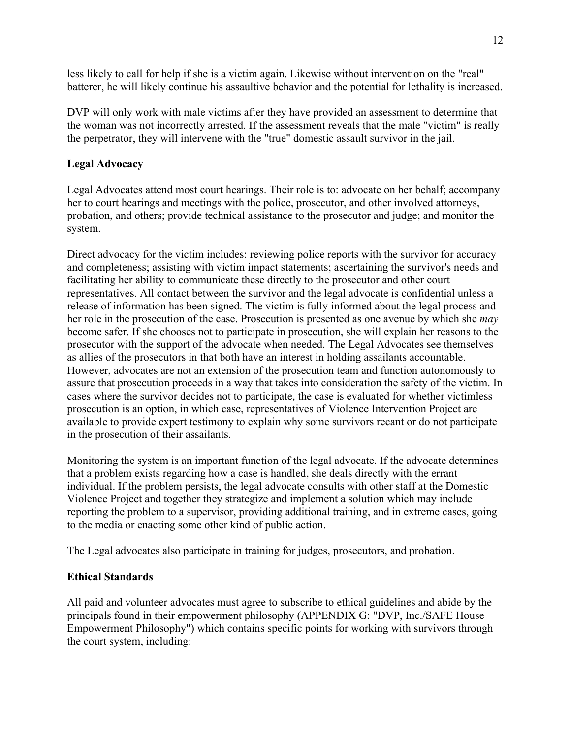less likely to call for help if she is a victim again. Likewise without intervention on the "real" batterer, he will likely continue his assaultive behavior and the potential for lethality is increased.

DVP will only work with male victims after they have provided an assessment to determine that the woman was not incorrectly arrested. If the assessment reveals that the male "victim" is really the perpetrator, they will intervene with the "true" domestic assault survivor in the jail.

## Legal Advocacy

Legal Advocates attend most court hearings. Their role is to: advocate on her behalf; accompany her to court hearings and meetings with the police, prosecutor, and other involved attorneys, probation, and others; provide technical assistance to the prosecutor and judge; and monitor the system.

Direct advocacy for the victim includes: reviewing police reports with the survivor for accuracy and completeness; assisting with victim impact statements; ascertaining the survivor's needs and facilitating her ability to communicate these directly to the prosecutor and other court representatives. All contact between the survivor and the legal advocate is confidential unless a release of information has been signed. The victim is fully informed about the legal process and her role in the prosecution of the case. Prosecution is presented as one avenue by which she *may* become safer. If she chooses not to participate in prosecution, she will explain her reasons to the prosecutor with the support of the advocate when needed. The Legal Advocates see themselves as allies of the prosecutors in that both have an interest in holding assailants accountable. However, advocates are not an extension of the prosecution team and function autonomously to assure that prosecution proceeds in a way that takes into consideration the safety of the victim. In cases where the survivor decides not to participate, the case is evaluated for whether victimless prosecution is an option, in which case, representatives of Violence Intervention Project are available to provide expert testimony to explain why some survivors recant or do not participate in the prosecution of their assailants.

Monitoring the system is an important function of the legal advocate. If the advocate determines that a problem exists regarding how a case is handled, she deals directly with the errant individual. If the problem persists, the legal advocate consults with other staff at the Domestic Violence Project and together they strategize and implement a solution which may include reporting the problem to a supervisor, providing additional training, and in extreme cases, going to the media or enacting some other kind of public action.

The Legal advocates also participate in training for judges, prosecutors, and probation.

### Ethical Standards

All paid and volunteer advocates must agree to subscribe to ethical guidelines and abide by the principals found in their empowerment philosophy (APPENDIX G: "DVP, Inc./SAFE House Empowerment Philosophy") which contains specific points for working with survivors through the court system, including: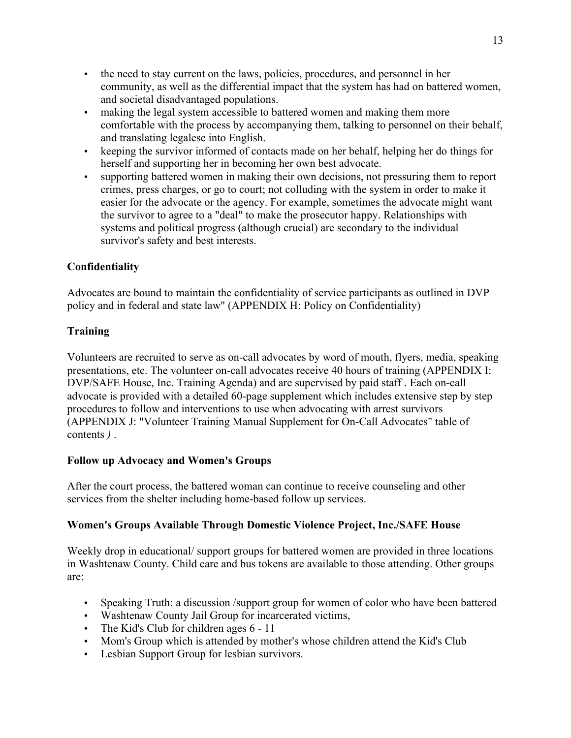- the need to stay current on the laws, policies, procedures, and personnel in her community, as well as the differential impact that the system has had on battered women, and societal disadvantaged populations.
- making the legal system accessible to battered women and making them more comfortable with the process by accompanying them, talking to personnel on their behalf, and translating legalese into English.
- keeping the survivor informed of contacts made on her behalf, helping her do things for herself and supporting her in becoming her own best advocate.
- supporting battered women in making their own decisions, not pressuring them to report crimes, press charges, or go to court; not colluding with the system in order to make it easier for the advocate or the agency. For example, sometimes the advocate might want the survivor to agree to a "deal" to make the prosecutor happy. Relationships with systems and political progress (although crucial) are secondary to the individual survivor's safety and best interests.

# **Confidentiality**

Advocates are bound to maintain the confidentiality of service participants as outlined in DVP policy and in federal and state law" (APPENDIX H: Policy on Confidentiality)

### Training

Volunteers are recruited to serve as on-call advocates by word of mouth, flyers, media, speaking presentations, etc. The volunteer on-call advocates receive 40 hours of training (APPENDIX I: DVP/SAFE House, Inc. Training Agenda) and are supervised by paid staff . Each on-call advocate is provided with a detailed 60-page supplement which includes extensive step by step procedures to follow and interventions to use when advocating with arrest survivors (APPENDIX J: "Volunteer Training Manual Supplement for On-Call Advocates" table of contents *)* .

### Follow up Advocacy and Women's Groups

After the court process, the battered woman can continue to receive counseling and other services from the shelter including home-based follow up services.

### Women's Groups Available Through Domestic Violence Project, Inc./SAFE House

Weekly drop in educational/ support groups for battered women are provided in three locations in Washtenaw County. Child care and bus tokens are available to those attending. Other groups are:

- Speaking Truth: a discussion /support group for women of color who have been battered
- Washtenaw County Jail Group for incarcerated victims,
- The Kid's Club for children ages 6 11
- Mom's Group which is attended by mother's whose children attend the Kid's Club
- Lesbian Support Group for lesbian survivors.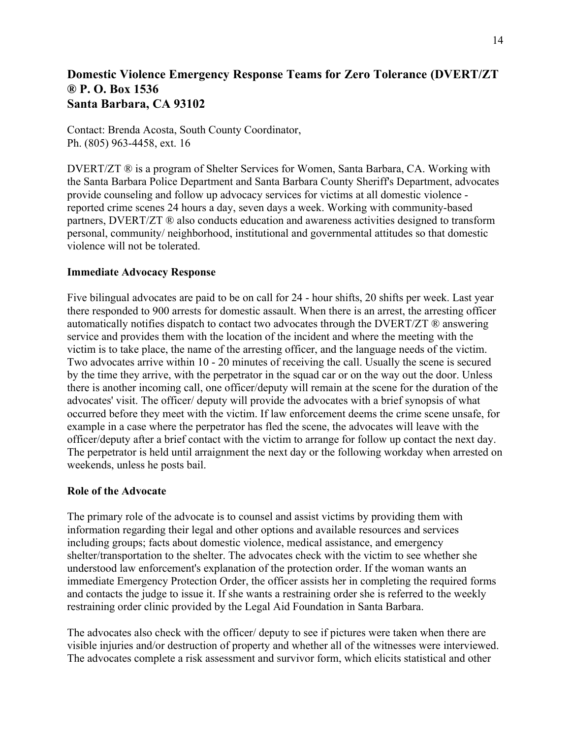# Domestic Violence Emergency Response Teams for Zero Tolerance (DVERT/ZT ® P. O. Box 1536 Santa Barbara, CA 93102

Contact: Brenda Acosta, South County Coordinator, Ph. (805) 963-4458, ext. 16

DVERT/ZT ® is a program of Shelter Services for Women, Santa Barbara, CA. Working with the Santa Barbara Police Department and Santa Barbara County Sheriff's Department, advocates provide counseling and follow up advocacy services for victims at all domestic violence reported crime scenes 24 hours a day, seven days a week. Working with community-based partners, DVERT/ZT ® also conducts education and awareness activities designed to transform personal, community/ neighborhood, institutional and governmental attitudes so that domestic violence will not be tolerated.

#### Immediate Advocacy Response

Five bilingual advocates are paid to be on call for 24 - hour shifts, 20 shifts per week. Last year there responded to 900 arrests for domestic assault. When there is an arrest, the arresting officer automatically notifies dispatch to contact two advocates through the DVERT/ZT ® answering service and provides them with the location of the incident and where the meeting with the victim is to take place, the name of the arresting officer, and the language needs of the victim. Two advocates arrive within 10 - 20 minutes of receiving the call. Usually the scene is secured by the time they arrive, with the perpetrator in the squad car or on the way out the door. Unless there is another incoming call, one officer/deputy will remain at the scene for the duration of the advocates' visit. The officer/ deputy will provide the advocates with a brief synopsis of what occurred before they meet with the victim. If law enforcement deems the crime scene unsafe, for example in a case where the perpetrator has fled the scene, the advocates will leave with the officer/deputy after a brief contact with the victim to arrange for follow up contact the next day. The perpetrator is held until arraignment the next day or the following workday when arrested on weekends, unless he posts bail.

#### Role of the Advocate

The primary role of the advocate is to counsel and assist victims by providing them with information regarding their legal and other options and available resources and services including groups; facts about domestic violence, medical assistance, and emergency shelter/transportation to the shelter. The advocates check with the victim to see whether she understood law enforcement's explanation of the protection order. If the woman wants an immediate Emergency Protection Order, the officer assists her in completing the required forms and contacts the judge to issue it. If she wants a restraining order she is referred to the weekly restraining order clinic provided by the Legal Aid Foundation in Santa Barbara.

The advocates also check with the officer/ deputy to see if pictures were taken when there are visible injuries and/or destruction of property and whether all of the witnesses were interviewed. The advocates complete a risk assessment and survivor form, which elicits statistical and other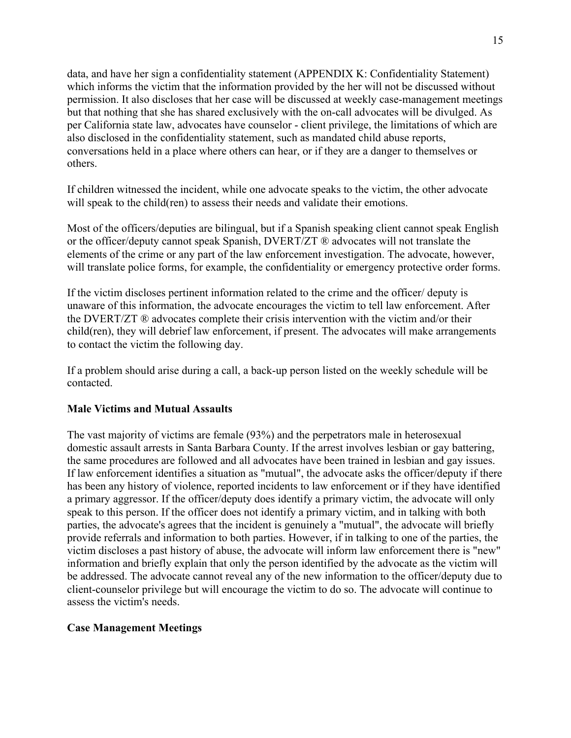data, and have her sign a confidentiality statement (APPENDIX K: Confidentiality Statement) which informs the victim that the information provided by the her will not be discussed without permission. It also discloses that her case will be discussed at weekly case-management meetings but that nothing that she has shared exclusively with the on-call advocates will be divulged. As per California state law, advocates have counselor - client privilege, the limitations of which are also disclosed in the confidentiality statement, such as mandated child abuse reports, conversations held in a place where others can hear, or if they are a danger to themselves or others.

If children witnessed the incident, while one advocate speaks to the victim, the other advocate will speak to the child(ren) to assess their needs and validate their emotions.

Most of the officers/deputies are bilingual, but if a Spanish speaking client cannot speak English or the officer/deputy cannot speak Spanish, DVERT/ZT ® advocates will not translate the elements of the crime or any part of the law enforcement investigation. The advocate, however, will translate police forms, for example, the confidentiality or emergency protective order forms.

If the victim discloses pertinent information related to the crime and the officer/ deputy is unaware of this information, the advocate encourages the victim to tell law enforcement. After the DVERT/ZT ® advocates complete their crisis intervention with the victim and/or their child(ren), they will debrief law enforcement, if present. The advocates will make arrangements to contact the victim the following day.

If a problem should arise during a call, a back-up person listed on the weekly schedule will be contacted.

#### Male Victims and Mutual Assaults

The vast majority of victims are female (93%) and the perpetrators male in heterosexual domestic assault arrests in Santa Barbara County. If the arrest involves lesbian or gay battering, the same procedures are followed and all advocates have been trained in lesbian and gay issues. If law enforcement identifies a situation as "mutual", the advocate asks the officer/deputy if there has been any history of violence, reported incidents to law enforcement or if they have identified a primary aggressor. If the officer/deputy does identify a primary victim, the advocate will only speak to this person. If the officer does not identify a primary victim, and in talking with both parties, the advocate's agrees that the incident is genuinely a "mutual", the advocate will briefly provide referrals and information to both parties. However, if in talking to one of the parties, the victim discloses a past history of abuse, the advocate will inform law enforcement there is "new" information and briefly explain that only the person identified by the advocate as the victim will be addressed. The advocate cannot reveal any of the new information to the officer/deputy due to client-counselor privilege but will encourage the victim to do so. The advocate will continue to assess the victim's needs.

### Case Management Meetings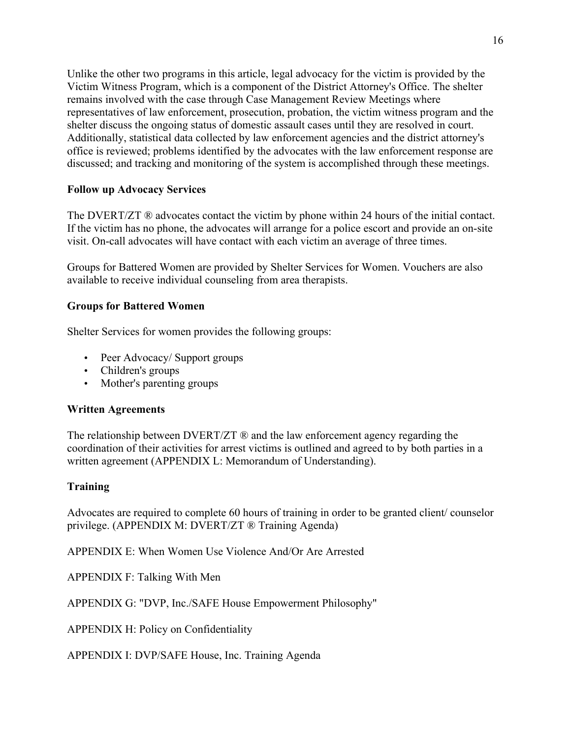Unlike the other two programs in this article, legal advocacy for the victim is provided by the Victim Witness Program, which is a component of the District Attorney's Office. The shelter remains involved with the case through Case Management Review Meetings where representatives of law enforcement, prosecution, probation, the victim witness program and the shelter discuss the ongoing status of domestic assault cases until they are resolved in court. Additionally, statistical data collected by law enforcement agencies and the district attorney's office is reviewed; problems identified by the advocates with the law enforcement response are discussed; and tracking and monitoring of the system is accomplished through these meetings.

### Follow up Advocacy Services

The DVERT/ZT ® advocates contact the victim by phone within 24 hours of the initial contact. If the victim has no phone, the advocates will arrange for a police escort and provide an on-site visit. On-call advocates will have contact with each victim an average of three times.

Groups for Battered Women are provided by Shelter Services for Women. Vouchers are also available to receive individual counseling from area therapists.

#### Groups for Battered Women

Shelter Services for women provides the following groups:

- Peer Advocacy/ Support groups
- Children's groups
- Mother's parenting groups

#### Written Agreements

The relationship between  $DVERT/ZT \otimes$  and the law enforcement agency regarding the coordination of their activities for arrest victims is outlined and agreed to by both parties in a written agreement (APPENDIX L: Memorandum of Understanding).

### **Training**

Advocates are required to complete 60 hours of training in order to be granted client/ counselor privilege. (APPENDIX M: DVERT/ZT ® Training Agenda)

APPENDIX E: When Women Use Violence And/Or Are Arrested

APPENDIX F: Talking With Men

APPENDIX G: "DVP, Inc./SAFE House Empowerment Philosophy"

APPENDIX H: Policy on Confidentiality

APPENDIX I: DVP/SAFE House, Inc. Training Agenda